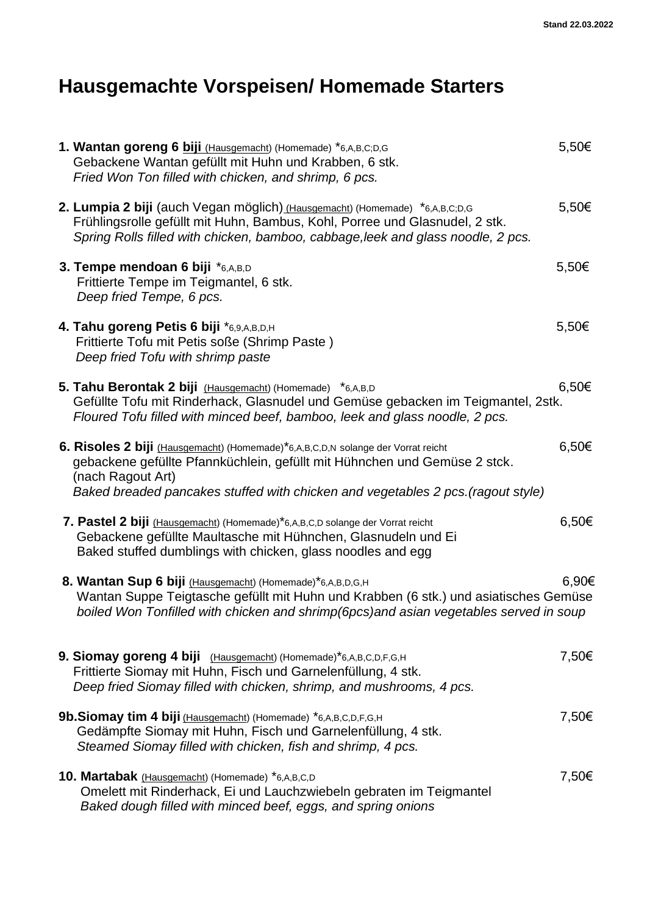# **Hausgemachte Vorspeisen/ Homemade Starters**

| 1. Wantan goreng 6 biji (Hausgemacht) (Homemade) *6,A,B,C;D,G<br>Gebackene Wantan gefüllt mit Huhn und Krabben, 6 stk.<br>Fried Won Ton filled with chicken, and shrimp, 6 pcs.                                                                                        | 5,50€      |
|------------------------------------------------------------------------------------------------------------------------------------------------------------------------------------------------------------------------------------------------------------------------|------------|
| 2. Lumpia 2 biji (auch Vegan möglich) (Hausgemacht) (Homemade) *6,A,B,C;D,G<br>Frühlingsrolle gefüllt mit Huhn, Bambus, Kohl, Porree und Glasnudel, 2 stk.<br>Spring Rolls filled with chicken, bamboo, cabbage, leek and glass noodle, 2 pcs.                         | 5,50€      |
| 3. Tempe mendoan 6 biji *6,A,B,D<br>Frittierte Tempe im Teigmantel, 6 stk.<br>Deep fried Tempe, 6 pcs.                                                                                                                                                                 | $5,50 \in$ |
| 4. Tahu goreng Petis 6 biji *6,9,A,B,D,H<br>Frittierte Tofu mit Petis soße (Shrimp Paste)<br>Deep fried Tofu with shrimp paste                                                                                                                                         | $5,50 \in$ |
| 5. Tahu Berontak 2 biji (Hausgemacht) (Homemade) *6,A,B,D<br>Gefüllte Tofu mit Rinderhack, Glasnudel und Gemüse gebacken im Teigmantel, 2stk.<br>Floured Tofu filled with minced beef, bamboo, leek and glass noodle, 2 pcs.                                           | 6,50€      |
| 6. Risoles 2 biji (Hausgemacht) (Homemade)*6,A,B,C,D,N solange der Vorrat reicht<br>gebackene gefüllte Pfannküchlein, gefüllt mit Hühnchen und Gemüse 2 stck.<br>(nach Ragout Art)<br>Baked breaded pancakes stuffed with chicken and vegetables 2 pcs. (ragout style) | $6,50 \in$ |
| 7. Pastel 2 biji (Hausgemacht) (Homemade)*6,A,B,C,D solange der Vorrat reicht<br>Gebackene gefüllte Maultasche mit Hühnchen, Glasnudeln und Ei<br>Baked stuffed dumblings with chicken, glass noodles and egg                                                          | 6,50€      |
| 8. Wantan Sup 6 biji (Hausgemacht) (Homemade)*6,A,B,D,G,H<br>Wantan Suppe Teigtasche gefüllt mit Huhn und Krabben (6 stk.) und asiatisches Gemüse<br>boiled Won Tonfilled with chicken and shrimp(6pcs)and asian vegetables served in soup                             | 6,90€      |
| 9. Siomay goreng 4 biji (Hausgemacht) (Homemade)*6,A,B,C,D,F,G,H<br>Frittierte Siomay mit Huhn, Fisch und Garnelenfüllung, 4 stk.<br>Deep fried Siomay filled with chicken, shrimp, and mushrooms, 4 pcs.                                                              | 7,50€      |
| 9b. Siomay tim 4 biji (Hausgemacht) (Homemade) *6,A,B,C,D,F,G,H<br>Gedämpfte Siomay mit Huhn, Fisch und Garnelenfüllung, 4 stk.<br>Steamed Siomay filled with chicken, fish and shrimp, 4 pcs.                                                                         | 7,50€      |
| 10. Martabak (Hausgemacht) (Homemade) *6,A,B,C,D<br>Omelett mit Rinderhack, Ei und Lauchzwiebeln gebraten im Teigmantel<br>Baked dough filled with minced beef, eggs, and spring onions                                                                                | 7,50€      |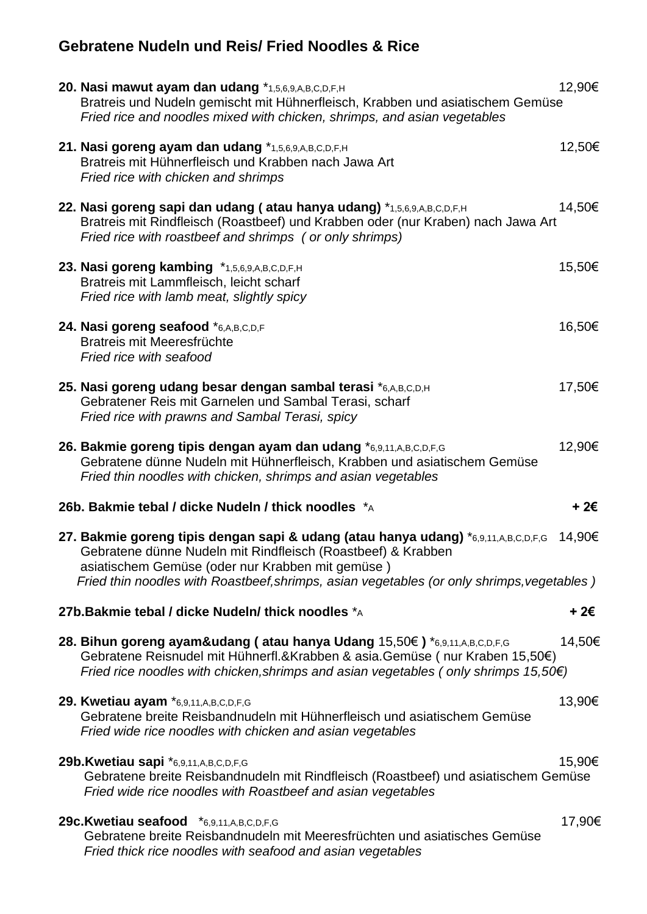## **Gebratene Nudeln und Reis/ Fried Noodles & Rice**

| 20. Nasi mawut ayam dan udang *1,5,6,9,A,B,C,D,F,H<br>Bratreis und Nudeln gemischt mit Hühnerfleisch, Krabben und asiatischem Gemüse<br>Fried rice and noodles mixed with chicken, shrimps, and asian vegetables                                      | 12,90€ |
|-------------------------------------------------------------------------------------------------------------------------------------------------------------------------------------------------------------------------------------------------------|--------|
| 21. Nasi goreng ayam dan udang *1,5,6,9,A,B,C,D,F,H<br>Bratreis mit Hühnerfleisch und Krabben nach Jawa Art<br>Fried rice with chicken and shrimps                                                                                                    | 12,50€ |
| 22. Nasi goreng sapi dan udang (atau hanya udang) *1,5,6,9,A,B,C,D,F,H<br>Bratreis mit Rindfleisch (Roastbeef) und Krabben oder (nur Kraben) nach Jawa Art<br>Fried rice with roastbeef and shrimps (or only shrimps)                                 | 14,50€ |
| 23. Nasi goreng kambing *1,5,6,9,A,B,C,D,F,H<br>Bratreis mit Lammfleisch, leicht scharf<br>Fried rice with lamb meat, slightly spicy                                                                                                                  | 15,50€ |
| 24. Nasi goreng seafood *6,A,B,C,D,F<br>Bratreis mit Meeresfrüchte<br>Fried rice with seafood                                                                                                                                                         | 16,50€ |
| 25. Nasi goreng udang besar dengan sambal terasi *6,A,B,C,D,H<br>Gebratener Reis mit Garnelen und Sambal Terasi, scharf<br>Fried rice with prawns and Sambal Terasi, spicy                                                                            | 17,50€ |
| 26. Bakmie goreng tipis dengan ayam dan udang *6,9,11,A,B,C,D,F,G<br>Gebratene dünne Nudeln mit Hühnerfleisch, Krabben und asiatischem Gemüse<br>Fried thin noodles with chicken, shrimps and asian vegetables                                        | 12,90€ |
| 26b. Bakmie tebal / dicke Nudeln / thick noodles *A                                                                                                                                                                                                   | + 2€   |
| 27. Bakmie goreng tipis dengan sapi & udang (atau hanya udang) *6,9,11,A,B,C,D,F,G<br>Gebratene dünne Nudeln mit Rindfleisch (Roastbeef) & Krabben<br>asiatischem Gemüse (oder nur Krabben mit gemüse)                                                | 14,90€ |
| Fried thin noodles with Roastbeef, shrimps, asian vegetables (or only shrimps, vegetables)                                                                                                                                                            |        |
| 27b. Bakmie tebal / dicke Nudeln/ thick noodles *A                                                                                                                                                                                                    | + 2€   |
| 28. Bihun goreng ayam&udang (atau hanya Udang 15,50€) *6,9,11,A,B,C,D,F,G<br>Gebratene Reisnudel mit Hühnerfl.&Krabben & asia.Gemüse (nur Kraben 15,50€)<br>Fried rice noodles with chicken, shrimps and asian vegetables (only shrimps $15,50 \in$ ) | 14,50€ |
| 29. Kwetiau ayam *6,9,11,A,B,C,D,F,G<br>Gebratene breite Reisbandnudeln mit Hühnerfleisch und asiatischem Gemüse<br>Fried wide rice noodles with chicken and asian vegetables                                                                         | 13,90€ |
| 29b.Kwetiau sapi *6,9,11,A,B,C,D,F,G<br>Gebratene breite Reisbandnudeln mit Rindfleisch (Roastbeef) und asiatischem Gemüse<br>Fried wide rice noodles with Roastbeef and asian vegetables                                                             | 15,90€ |
| 29c. Kwetiau seafood *6,9,11,A,B,C,D,F,G<br>Gebratene breite Reisbandnudeln mit Meeresfrüchten und asiatisches Gemüse<br>Fried thick rice noodles with seafood and asian vegetables                                                                   | 17,90€ |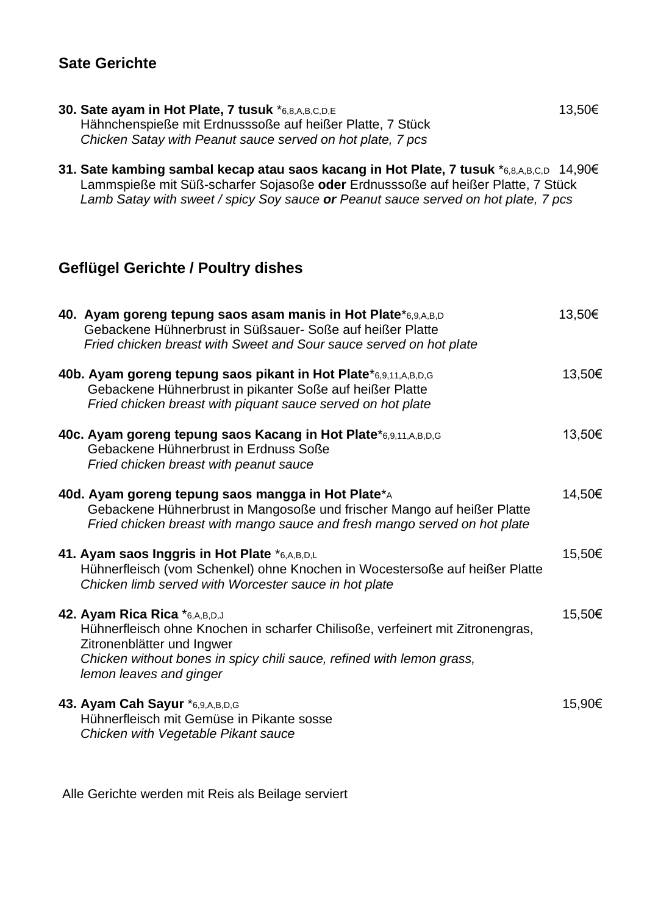### **Sate Gerichte**

- **30. Sate ayam in Hot Plate, 7 tusuk** \*6,8,A,B,C,D,E 13,50€ Hähnchenspieße mit Erdnusssoße auf heißer Platte, 7 Stück  *Chicken Satay with Peanut sauce served on hot plate, 7 pcs*
- **31. Sate kambing sambal kecap atau saos kacang in Hot Plate, 7 tusuk** \*6,8,A,B,C,D 14,90€ Lammspieße mit Süß-scharfer Sojasoße **oder** Erdnusssoße auf heißer Platte, 7 Stück  *Lamb Satay with sweet / spicy Soy sauce or Peanut sauce served on hot plate, 7 pcs*

### **Geflügel Gerichte / Poultry dishes**

| 40. Ayam goreng tepung saos asam manis in Hot Plate*6,9,A,B,D<br>Gebackene Hühnerbrust in Süßsauer- Soße auf heißer Platte<br>Fried chicken breast with Sweet and Sour sauce served on hot plate                                                  | 13,50€ |
|---------------------------------------------------------------------------------------------------------------------------------------------------------------------------------------------------------------------------------------------------|--------|
| 40b. Ayam goreng tepung saos pikant in Hot Plate*6,9,11,A,B,D,G<br>Gebackene Hühnerbrust in pikanter Soße auf heißer Platte<br>Fried chicken breast with piquant sauce served on hot plate                                                        | 13,50€ |
| 40c. Ayam goreng tepung saos Kacang in Hot Plate*6,9,11,A,B,D,G<br>Gebackene Hühnerbrust in Erdnuss Soße<br>Fried chicken breast with peanut sauce                                                                                                | 13,50€ |
| 40d. Ayam goreng tepung saos mangga in Hot Plate*A<br>Gebackene Hühnerbrust in Mangosoße und frischer Mango auf heißer Platte<br>Fried chicken breast with mango sauce and fresh mango served on hot plate                                        | 14,50€ |
| 41. Ayam saos Inggris in Hot Plate *6,A,B,D,L<br>Hühnerfleisch (vom Schenkel) ohne Knochen in Wocestersoße auf heißer Platte<br>Chicken limb served with Worcester sauce in hot plate                                                             | 15,50€ |
| 42. Ayam Rica Rica *6,A,B,D,J<br>Hühnerfleisch ohne Knochen in scharfer Chilisoße, verfeinert mit Zitronengras,<br>Zitronenblätter und Ingwer<br>Chicken without bones in spicy chili sauce, refined with lemon grass,<br>lemon leaves and ginger | 15,50€ |
| 43. Ayam Cah Sayur *6,9,A,B,D,G<br>Hühnerfleisch mit Gemüse in Pikante sosse<br>Chicken with Vegetable Pikant sauce                                                                                                                               | 15,90€ |

Alle Gerichte werden mit Reis als Beilage serviert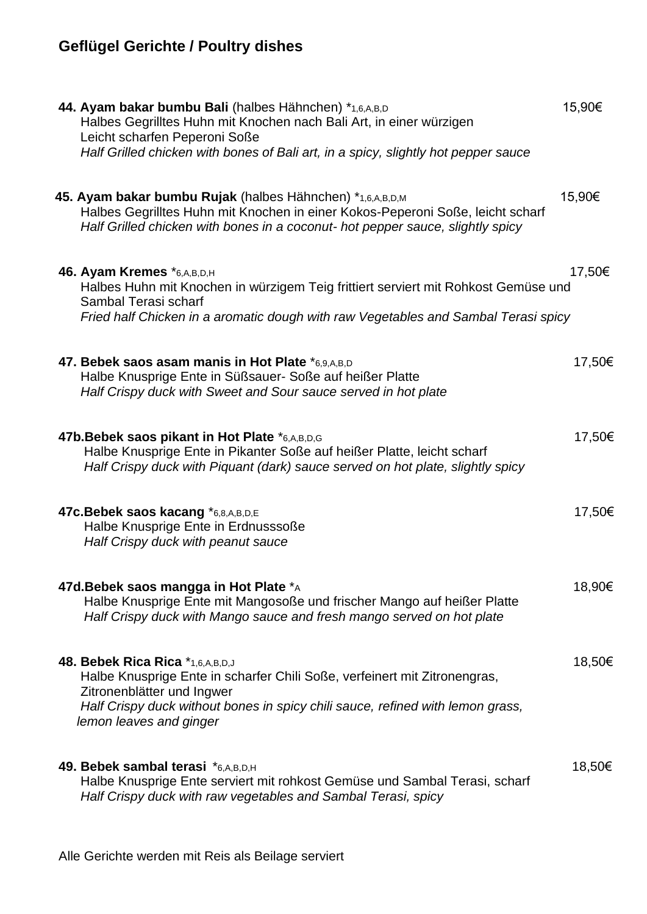## **Geflügel Gerichte / Poultry dishes**

| 44. Ayam bakar bumbu Bali (halbes Hähnchen) *1,6,A,B,D<br>Halbes Gegrilltes Huhn mit Knochen nach Bali Art, in einer würzigen<br>Leicht scharfen Peperoni Soße<br>Half Grilled chicken with bones of Bali art, in a spicy, slightly hot pepper sauce     | 15,90€ |
|----------------------------------------------------------------------------------------------------------------------------------------------------------------------------------------------------------------------------------------------------------|--------|
| 45. Ayam bakar bumbu Rujak (halbes Hähnchen) *1,6,A,B,D,M<br>Halbes Gegrilltes Huhn mit Knochen in einer Kokos-Peperoni Soße, leicht scharf<br>Half Grilled chicken with bones in a coconut- hot pepper sauce, slightly spicy                            | 15,90€ |
| 46. Ayam Kremes *6,A,B,D,H<br>Halbes Huhn mit Knochen in würzigem Teig frittiert serviert mit Rohkost Gemüse und<br>Sambal Terasi scharf<br>Fried half Chicken in a aromatic dough with raw Vegetables and Sambal Terasi spicy                           | 17,50€ |
| 47. Bebek saos asam manis in Hot Plate *6,9,A,B,D<br>Halbe Knusprige Ente in Süßsauer- Soße auf heißer Platte<br>Half Crispy duck with Sweet and Sour sauce served in hot plate                                                                          | 17,50€ |
| 47b. Bebek saos pikant in Hot Plate *6,A,B,D,G<br>Halbe Knusprige Ente in Pikanter Soße auf heißer Platte, leicht scharf<br>Half Crispy duck with Piquant (dark) sauce served on hot plate, slightly spicy                                               | 17,50€ |
| 47c. Bebek saos kacang *6,8,A,B,D,E<br>Halbe Knusprige Ente in Erdnusssoße<br>Half Crispy duck with peanut sauce                                                                                                                                         | 17,50€ |
| 47d. Bebek saos mangga in Hot Plate *A<br>Halbe Knusprige Ente mit Mangosoße und frischer Mango auf heißer Platte<br>Half Crispy duck with Mango sauce and fresh mango served on hot plate                                                               | 18,90€ |
| 48. Bebek Rica Rica *1,6,A,B,D,J<br>Halbe Knusprige Ente in scharfer Chili Soße, verfeinert mit Zitronengras,<br>Zitronenblätter und Ingwer<br>Half Crispy duck without bones in spicy chili sauce, refined with lemon grass,<br>lemon leaves and ginger | 18,50€ |
| 49. Bebek sambal terasi *6,A,B,D,H<br>Halbe Knusprige Ente serviert mit rohkost Gemüse und Sambal Terasi, scharf<br>Half Crispy duck with raw vegetables and Sambal Terasi, spicy                                                                        | 18,50€ |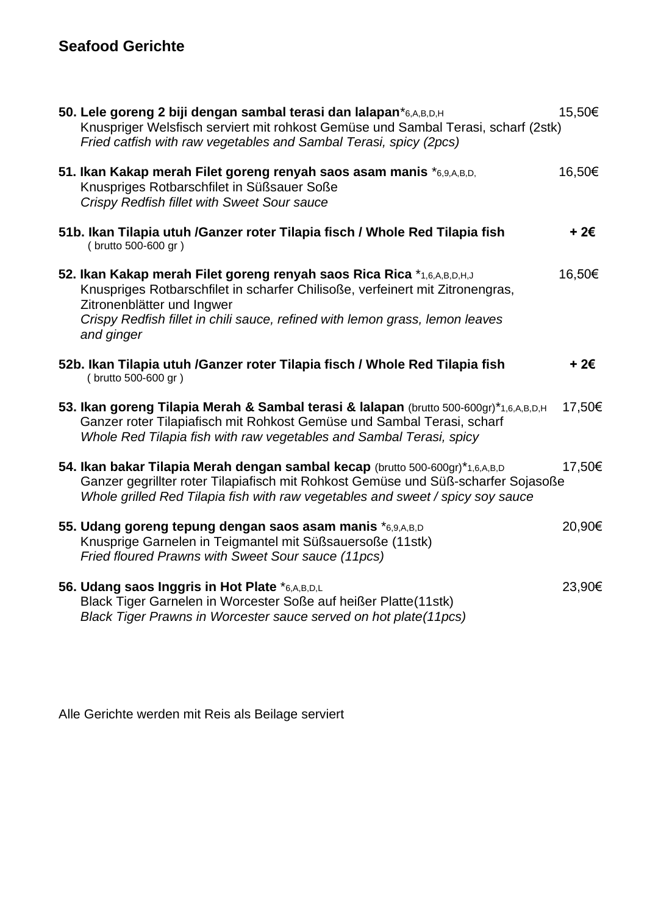## **Seafood Gerichte**

| 50. Lele goreng 2 biji dengan sambal terasi dan lalapan*6,A,B,D,H<br>Knuspriger Welsfisch serviert mit rohkost Gemüse und Sambal Terasi, scharf (2stk)<br>Fried catfish with raw vegetables and Sambal Terasi, spicy (2pcs)                                                         | 15,50€ |
|-------------------------------------------------------------------------------------------------------------------------------------------------------------------------------------------------------------------------------------------------------------------------------------|--------|
| 51. Ikan Kakap merah Filet goreng renyah saos asam manis *6,9,A,B,D,<br>Knuspriges Rotbarschfilet in Süßsauer Soße<br>Crispy Redfish fillet with Sweet Sour sauce                                                                                                                   | 16,50€ |
| 51b. Ikan Tilapia utuh /Ganzer roter Tilapia fisch / Whole Red Tilapia fish<br>(brutto 500-600 gr)                                                                                                                                                                                  | + 2€   |
| 52. Ikan Kakap merah Filet goreng renyah saos Rica Rica *1,6,A,B,D,H,J<br>Knuspriges Rotbarschfilet in scharfer Chilisoße, verfeinert mit Zitronengras,<br>Zitronenblätter und Ingwer<br>Crispy Redfish fillet in chili sauce, refined with lemon grass, lemon leaves<br>and ginger | 16,50€ |
| 52b. Ikan Tilapia utuh / Ganzer roter Tilapia fisch / Whole Red Tilapia fish<br>(brutto 500-600 gr)                                                                                                                                                                                 | + 2€   |
| 53. Ikan goreng Tilapia Merah & Sambal terasi & lalapan (brutto 500-600gr)*1,6,A,B,D,H<br>Ganzer roter Tilapiafisch mit Rohkost Gemüse und Sambal Terasi, scharf<br>Whole Red Tilapia fish with raw vegetables and Sambal Terasi, spicy                                             | 17,50€ |
| 54. Ikan bakar Tilapia Merah dengan sambal kecap (brutto 500-600gr)*1,6,A,B,D<br>Ganzer gegrillter roter Tilapiafisch mit Rohkost Gemüse und Süß-scharfer Sojasoße<br>Whole grilled Red Tilapia fish with raw vegetables and sweet / spicy soy sauce                                | 17,50€ |
| 55. Udang goreng tepung dengan saos asam manis *6,9,A,B,D<br>Knusprige Garnelen in Teigmantel mit Süßsauersoße (11stk)<br>Fried floured Prawns with Sweet Sour sauce (11pcs)                                                                                                        | 20,90€ |
| 56. Udang saos Inggris in Hot Plate *6,A,B,D,L<br>Black Tiger Garnelen in Worcester Soße auf heißer Platte(11stk)<br>Black Tiger Prawns in Worcester sauce served on hot plate(11pcs)                                                                                               | 23,90€ |

Alle Gerichte werden mit Reis als Beilage serviert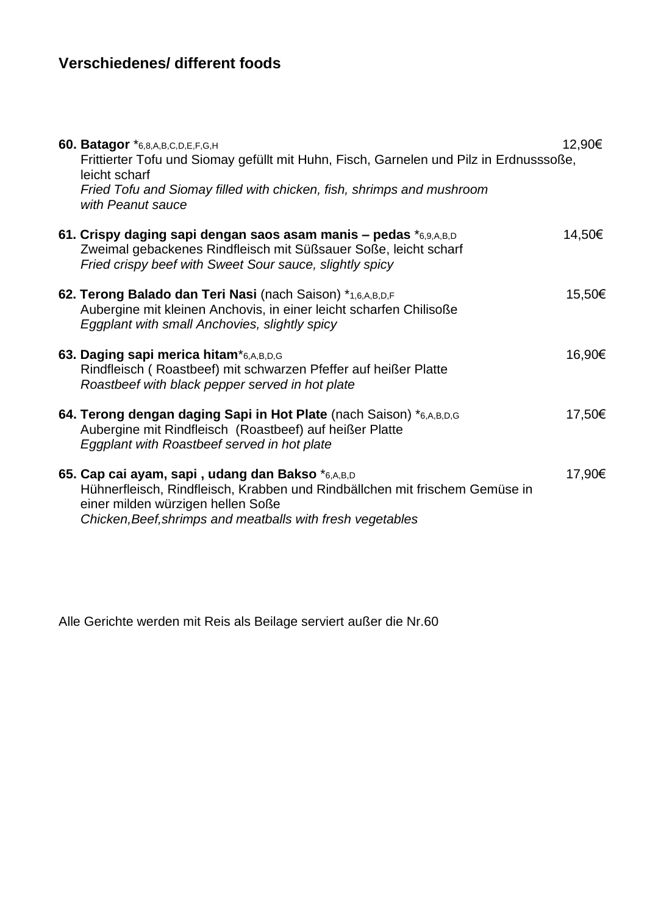## **Verschiedenes/ different foods**

| 60. Batagor *6,8,A,B,C,D,E,F,G,H<br>Frittierter Tofu und Siomay gefüllt mit Huhn, Fisch, Garnelen und Pilz in Erdnusssoße,<br>leicht scharf<br>Fried Tofu and Siomay filled with chicken, fish, shrimps and mushroom<br>with Peanut sauce | 12,90€ |
|-------------------------------------------------------------------------------------------------------------------------------------------------------------------------------------------------------------------------------------------|--------|
| 61. Crispy daging sapi dengan saos asam manis – pedas *6,9,A,B,D<br>Zweimal gebackenes Rindfleisch mit Süßsauer Soße, leicht scharf<br>Fried crispy beef with Sweet Sour sauce, slightly spicy                                            | 14,50€ |
| 62. Terong Balado dan Teri Nasi (nach Saison) *1,6,A,B,D,F<br>Aubergine mit kleinen Anchovis, in einer leicht scharfen Chilisoße<br>Eggplant with small Anchovies, slightly spicy                                                         | 15,50€ |
| 63. Daging sapi merica hitam*6,A,B,D,G<br>Rindfleisch (Roastbeef) mit schwarzen Pfeffer auf heißer Platte<br>Roastbeef with black pepper served in hot plate                                                                              | 16,90€ |
| 64. Terong dengan daging Sapi in Hot Plate (nach Saison) *6,A,B,D,G<br>Aubergine mit Rindfleisch (Roastbeef) auf heißer Platte<br>Eggplant with Roastbeef served in hot plate                                                             | 17,50€ |
| 65. Cap cai ayam, sapi, udang dan Bakso *6,A,B,D<br>Hühnerfleisch, Rindfleisch, Krabben und Rindbällchen mit frischem Gemüse in<br>einer milden würzigen hellen Soße<br>Chicken, Beef, shrimps and meatballs with fresh vegetables        | 17,90€ |

Alle Gerichte werden mit Reis als Beilage serviert außer die Nr.60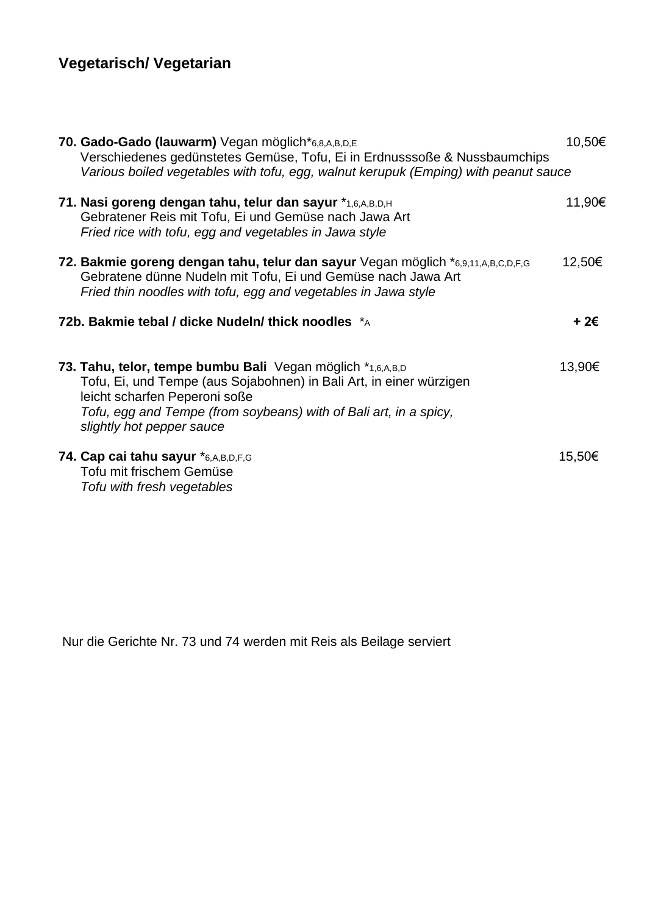## **Vegetarisch/ Vegetarian**

| 70. Gado-Gado (lauwarm) Vegan möglich*6,8,A,B,D,E<br>Verschiedenes gedünstetes Gemüse, Tofu, Ei in Erdnusssoße & Nussbaumchips<br>Various boiled vegetables with tofu, egg, walnut kerupuk (Emping) with peanut sauce                                                | 10,50€ |
|----------------------------------------------------------------------------------------------------------------------------------------------------------------------------------------------------------------------------------------------------------------------|--------|
| 71. Nasi goreng dengan tahu, telur dan sayur *1,6,A,B,D,H<br>Gebratener Reis mit Tofu, Ei und Gemüse nach Jawa Art<br>Fried rice with tofu, egg and vegetables in Jawa style                                                                                         | 11,90€ |
| 72. Bakmie goreng dengan tahu, telur dan sayur Vegan möglich *6,9,11,A,B,C,D,F,G<br>Gebratene dünne Nudeln mit Tofu, Ei und Gemüse nach Jawa Art<br>Fried thin noodles with tofu, egg and vegetables in Jawa style                                                   | 12,50€ |
| 72b. Bakmie tebal / dicke Nudeln/ thick noodles *A                                                                                                                                                                                                                   | + 2€   |
| 73. Tahu, telor, tempe bumbu Bali Vegan möglich *1,6,A,B,D<br>Tofu, Ei, und Tempe (aus Sojabohnen) in Bali Art, in einer würzigen<br>leicht scharfen Peperoni soße<br>Tofu, egg and Tempe (from soybeans) with of Bali art, in a spicy,<br>slightly hot pepper sauce | 13,90€ |
| 74. Cap cai tahu sayur *6,A,B,D,F,G<br>Tofu mit frischem Gemüse<br>Tofu with fresh vegetables                                                                                                                                                                        | 15,50€ |

Nur die Gerichte Nr. 73 und 74 werden mit Reis als Beilage serviert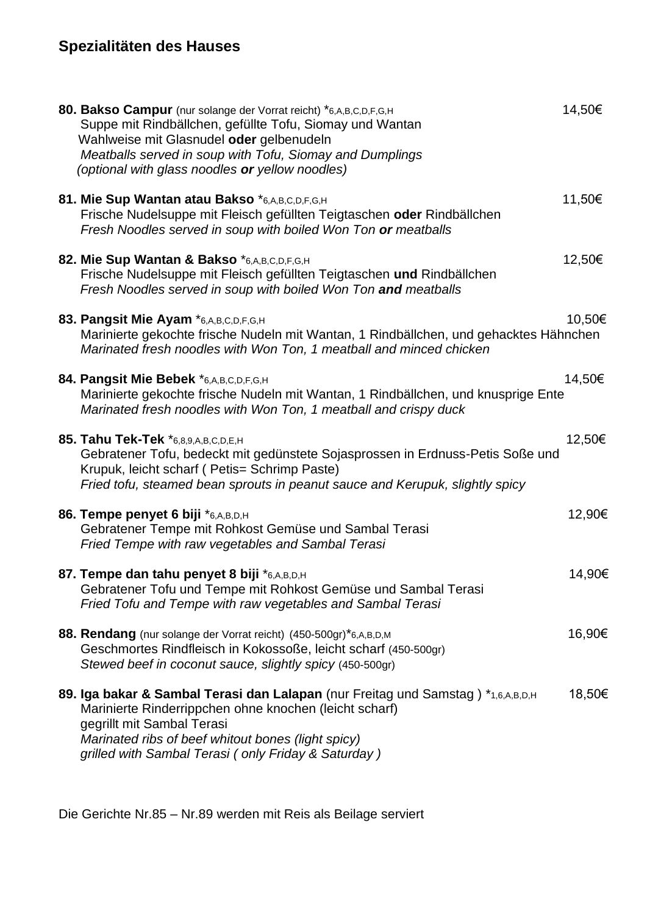## **Spezialitäten des Hauses**

| 80. Bakso Campur (nur solange der Vorrat reicht) *6,A,B,C,D,F,G,H<br>Suppe mit Rindbällchen, gefüllte Tofu, Siomay und Wantan<br>Wahlweise mit Glasnudel oder gelbenudeln<br>Meatballs served in soup with Tofu, Siomay and Dumplings<br>(optional with glass noodles or yellow noodles) | 14,50€ |
|------------------------------------------------------------------------------------------------------------------------------------------------------------------------------------------------------------------------------------------------------------------------------------------|--------|
| 81. Mie Sup Wantan atau Bakso *6,A,B,C,D,F,G,H<br>Frische Nudelsuppe mit Fleisch gefüllten Teigtaschen oder Rindbällchen<br>Fresh Noodles served in soup with boiled Won Ton or meatballs                                                                                                | 11,50€ |
| 82. Mie Sup Wantan & Bakso *6,A,B,C,D,F,G,H<br>Frische Nudelsuppe mit Fleisch gefüllten Teigtaschen und Rindbällchen<br>Fresh Noodles served in soup with boiled Won Ton and meatballs                                                                                                   | 12,50€ |
| 83. Pangsit Mie Ayam *6,A,B,C,D,F,G,H<br>Marinierte gekochte frische Nudeln mit Wantan, 1 Rindbällchen, und gehacktes Hähnchen<br>Marinated fresh noodles with Won Ton, 1 meatball and minced chicken                                                                                    | 10,50€ |
| 84. Pangsit Mie Bebek *6,A,B,C,D,F,G,H<br>Marinierte gekochte frische Nudeln mit Wantan, 1 Rindbällchen, und knusprige Ente<br>Marinated fresh noodles with Won Ton, 1 meatball and crispy duck                                                                                          | 14,50€ |
| 85. Tahu Tek-Tek *6,8,9,A,B,C,D,E,H<br>Gebratener Tofu, bedeckt mit gedünstete Sojasprossen in Erdnuss-Petis Soße und<br>Krupuk, leicht scharf (Petis= Schrimp Paste)<br>Fried tofu, steamed bean sprouts in peanut sauce and Kerupuk, slightly spicy                                    | 12,50€ |
| 86. Tempe penyet 6 biji *6,A,B,D,H<br>Gebratener Tempe mit Rohkost Gemüse und Sambal Terasi<br>Fried Tempe with raw vegetables and Sambal Terasi                                                                                                                                         | 12,90€ |
| 87. Tempe dan tahu penyet 8 biji *6,A,B,D,H<br>Gebratener Tofu und Tempe mit Rohkost Gemüse und Sambal Terasi<br>Fried Tofu and Tempe with raw vegetables and Sambal Terasi                                                                                                              | 14,90€ |
| 88. Rendang (nur solange der Vorrat reicht) (450-500gr)*6,A,B,D,M<br>Geschmortes Rindfleisch in Kokossoße, leicht scharf (450-500gr)<br>Stewed beef in coconut sauce, slightly spicy (450-500gr)                                                                                         | 16,90€ |
| 89. Iga bakar & Sambal Terasi dan Lalapan (nur Freitag und Samstag) *1,6,A,B,D,H<br>Marinierte Rinderrippchen ohne knochen (leicht scharf)<br>gegrillt mit Sambal Terasi<br>Marinated ribs of beef whitout bones (light spicy)<br>grilled with Sambal Terasi (only Friday & Saturday)    | 18,50€ |

Die Gerichte Nr.85 – Nr.89 werden mit Reis als Beilage serviert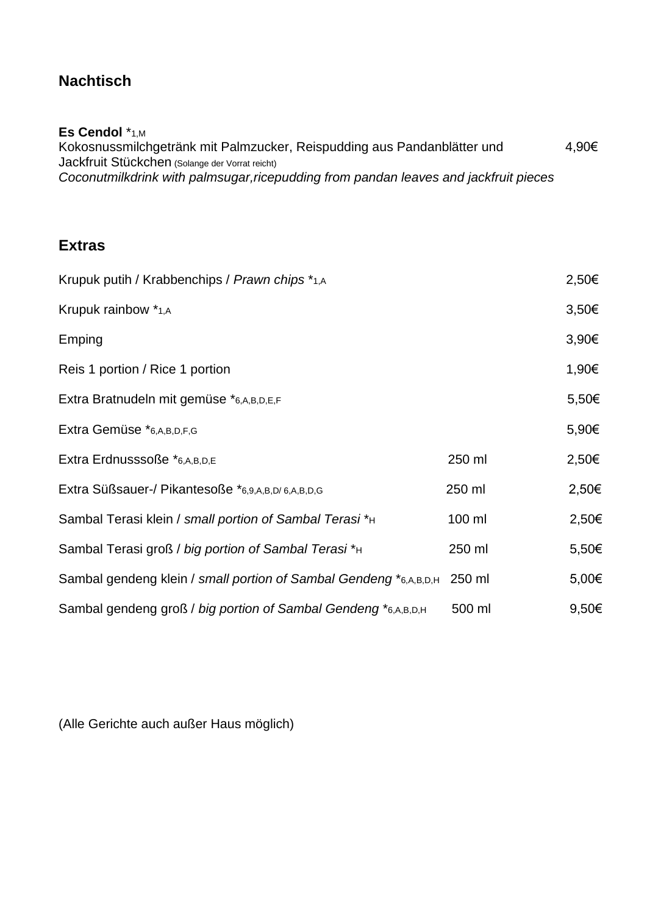### **Nachtisch**

#### **Es Cendol** \*1,M

Kokosnussmilchgetränk mit Palmzucker, Reispudding aus Pandanblätter und 4,90€ Jackfruit Stückchen (Solange der Vorrat reicht) *Coconutmilkdrink with palmsugar,ricepudding from pandan leaves and jackfruit pieces* 

### **Extras**

| Krupuk putih / Krabbenchips / Prawn chips *1,A                    |        | 2,50€ |
|-------------------------------------------------------------------|--------|-------|
| Krupuk rainbow *1,A                                               |        | 3,50€ |
| Emping                                                            |        | 3,90€ |
| Reis 1 portion / Rice 1 portion                                   |        | 1,90€ |
| Extra Bratnudeln mit gemüse *6,A,B,D,E,F                          |        | 5,50€ |
| Extra Gemüse *6,A,B,D,F,G                                         |        | 5,90€ |
| Extra Erdnusssoße *6,A,B,D,E                                      | 250 ml | 2,50€ |
| Extra Süßsauer-/ Pikantesoße *6,9,A,B,D/6,A,B,D,G                 | 250 ml | 2,50€ |
| Sambal Terasi klein / small portion of Sambal Terasi * H          | 100 ml | 2,50€ |
| Sambal Terasi groß / big portion of Sambal Terasi*H               | 250 ml | 5,50€ |
| Sambal gendeng klein / small portion of Sambal Gendeng *6,A,B,D,H | 250 ml | 5,00€ |
| Sambal gendeng groß / big portion of Sambal Gendeng *6,A,B,D,H    | 500 ml | 9,50€ |

(Alle Gerichte auch außer Haus möglich)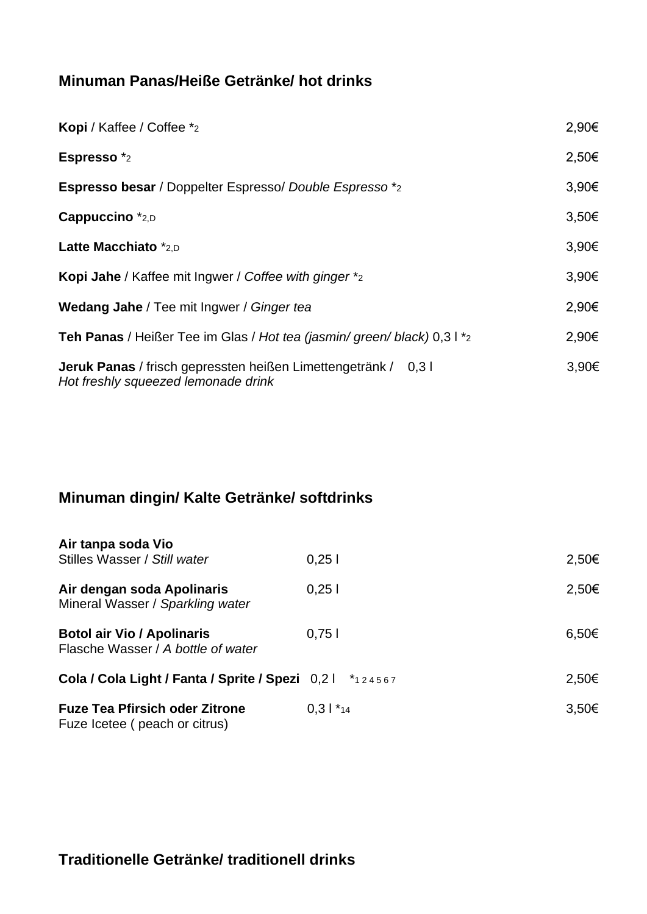### **Minuman Panas/Heiße Getränke/ hot drinks**

| Kopi / Kaffee / Coffee *2                                                                                    | 2,90€      |
|--------------------------------------------------------------------------------------------------------------|------------|
| Espresso *2                                                                                                  | 2,50€      |
| <b>Espresso besar</b> / Doppelter Espresso/ Double Espresso *2                                               | 3,90€      |
| Cappuccino *2,D                                                                                              | $3,50 \in$ |
| Latte Macchiato *2,D                                                                                         | 3,90€      |
| <b>Kopi Jahe</b> / Kaffee mit Ingwer / Coffee with ginger *2                                                 | 3,90€      |
| <b>Wedang Jahe</b> / Tee mit Ingwer / Ginger tea                                                             | 2,90€      |
| Teh Panas / Heißer Tee im Glas / Hot tea (jasmin/ green/ black) 0,3 l *2                                     | 2,90€      |
| <b>Jeruk Panas</b> / frisch gepressten heißen Limettengetränk / 0,3 l<br>Hot freshly squeezed lemonade drink | 3,90€      |

## **Minuman dingin/ Kalte Getränke/ softdrinks**

| Air tanpa soda Vio<br>Stilles Wasser / Still water                      | 0.251      | 2,50€      |
|-------------------------------------------------------------------------|------------|------------|
| Air dengan soda Apolinaris<br>Mineral Wasser / Sparkling water          | 0.251      | 2,50€      |
| <b>Botol air Vio / Apolinaris</b><br>Flasche Wasser / A bottle of water | 0,751      | 6,50€      |
| Cola / Cola Light / Fanta / Sprite / Spezi 0,21 *124567                 |            | 2,50€      |
| <b>Fuze Tea Pfirsich oder Zitrone</b><br>Fuze Icetee (peach or citrus)  | $0.31$ *14 | $3,50 \in$ |

**Traditionelle Getränke/ traditionell drinks**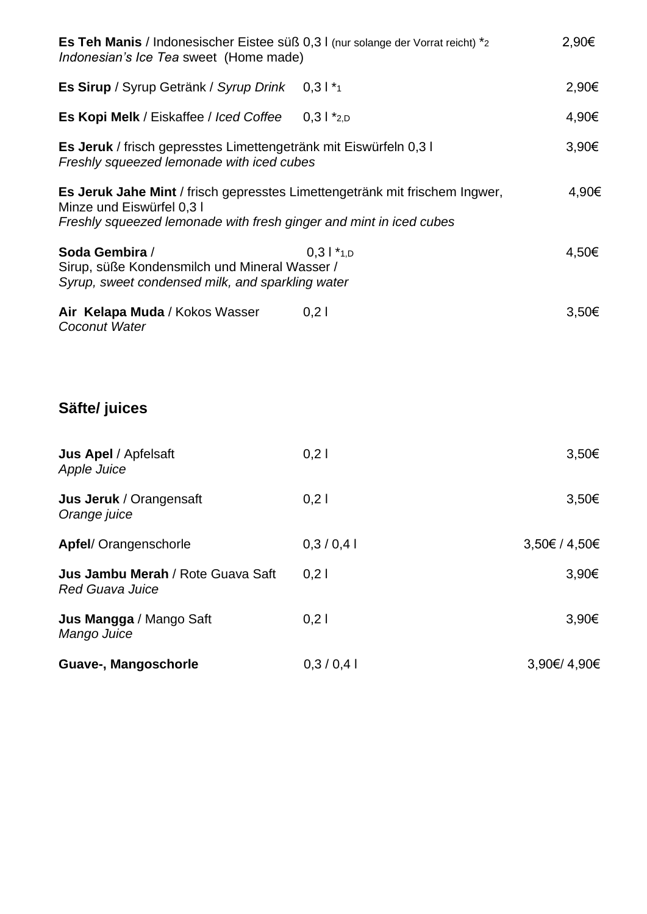| Es Teh Manis / Indonesischer Eistee süß 0,3 l (nur solange der Vorrat reicht) *2<br>Indonesian's Ice Tea sweet (Home made) |                                                                             | 2,90€                           |
|----------------------------------------------------------------------------------------------------------------------------|-----------------------------------------------------------------------------|---------------------------------|
| Es Sirup / Syrup Getränk / Syrup Drink                                                                                     | $0,31*_{1}$                                                                 | 2,90€                           |
| Es Kopi Melk / Eiskaffee / Iced Coffee                                                                                     | $0,31$ *2,D                                                                 | 4,90€                           |
| Es Jeruk / frisch gepresstes Limettengetränk mit Eiswürfeln 0,3 I<br>Freshly squeezed lemonade with iced cubes             |                                                                             | 3,90€                           |
| Minze und Eiswürfel 0,31<br>Freshly squeezed lemonade with fresh ginger and mint in iced cubes                             | Es Jeruk Jahe Mint / frisch gepresstes Limettengetränk mit frischem Ingwer, | 4,90€                           |
| Soda Gembira /<br>Sirup, süße Kondensmilch und Mineral Wasser /<br>Syrup, sweet condensed milk, and sparkling water        | $0.31$ *1,D                                                                 | 4,50€                           |
| Air Kelapa Muda / Kokos Wasser<br>Coconut Water                                                                            | 0,21                                                                        | 3,50€                           |
| Säfte/ juices                                                                                                              |                                                                             |                                 |
| <b>Jus Apel</b> / Apfelsaft<br><b>Apple Juice</b>                                                                          | 0,21                                                                        | 3,50€                           |
| Jus Jeruk / Orangensaft<br>Orange juice                                                                                    | 0,21                                                                        | 3,50€                           |
| Apfel/ Orangenschorle                                                                                                      |                                                                             |                                 |
|                                                                                                                            | 0,3/0,4                                                                     |                                 |
| Jus Jambu Merah / Rote Guava Saft<br><b>Red Guava Juice</b>                                                                | 0,21                                                                        |                                 |
| Jus Mangga / Mango Saft<br>Mango Juice                                                                                     | 0,2                                                                         | 3,50€ / 4,50€<br>3,90€<br>3,90€ |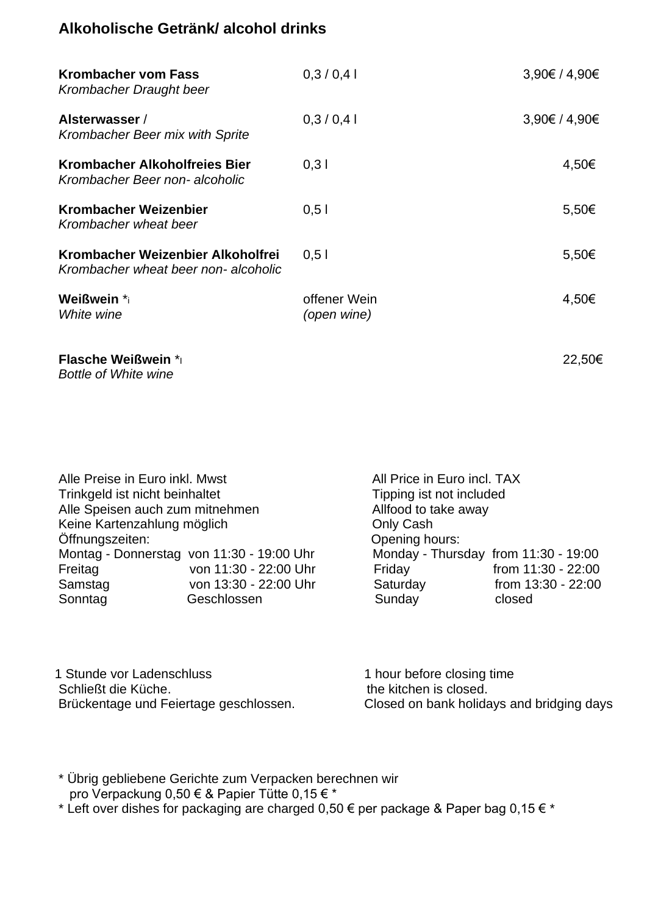### **Alkoholische Getränk/ alcohol drinks**

| <b>Krombacher vom Fass</b><br>Krombacher Draught beer                    | 0,3/0,4                     | 3,90€ / 4,90€ |
|--------------------------------------------------------------------------|-----------------------------|---------------|
| Alsterwasser /<br>Krombacher Beer mix with Sprite                        | 0,3/0,4                     | 3,90€ / 4,90€ |
| Krombacher Alkoholfreies Bier<br>Krombacher Beer non- alcoholic          | 0,31                        | 4,50€         |
| <b>Krombacher Weizenbier</b><br>Krombacher wheat beer                    | 0,51                        | 5,50€         |
| Krombacher Weizenbier Alkoholfrei<br>Krombacher wheat beer non-alcoholic | 0,51                        | 5,50€         |
| <b>Weißwein *</b> i<br>White wine                                        | offener Wein<br>(open wine) | 4,50€         |
| <b>Flasche Weißwein *</b><br><b>Bottle of White wine</b>                 |                             | 22,50€        |

| Alle Preise in Euro inkl. Mwst  |                                           | All Price in Euro incl. TAX          |                    |  |
|---------------------------------|-------------------------------------------|--------------------------------------|--------------------|--|
| Trinkgeld ist nicht beinhaltet  |                                           | Tipping ist not included             |                    |  |
| Alle Speisen auch zum mitnehmen |                                           | Allfood to take away                 |                    |  |
| Keine Kartenzahlung möglich     |                                           | Only Cash                            |                    |  |
| Öffnungszeiten:                 |                                           | Opening hours:                       |                    |  |
|                                 | Montag - Donnerstag von 11:30 - 19:00 Uhr | Monday - Thursday from 11:30 - 19:00 |                    |  |
| Freitag                         | von 11:30 - 22:00 Uhr                     | Friday                               | from 11:30 - 22:00 |  |
| Samstag                         | von 13:30 - 22:00 Uhr                     | Saturday                             | from 13:30 - 22:00 |  |
| Sonntag                         | Geschlossen                               | Sunday                               | closed             |  |
|                                 |                                           |                                      |                    |  |

1 Stunde vor Ladenschluss 1 hour before closing time Schließt die Küche.<br>Brückentage und Feiertage geschlossen. the kitchen is closed.<br>Closed on bank holida

Closed on bank holidays and bridging days

\* Übrig gebliebene Gerichte zum Verpacken berechnen wir pro Verpackung 0,50 € & Papier Tütte 0,15 € \*

\* Left over dishes for packaging are charged 0,50  $\epsilon$  per package & Paper bag 0,15  $\epsilon$  \*